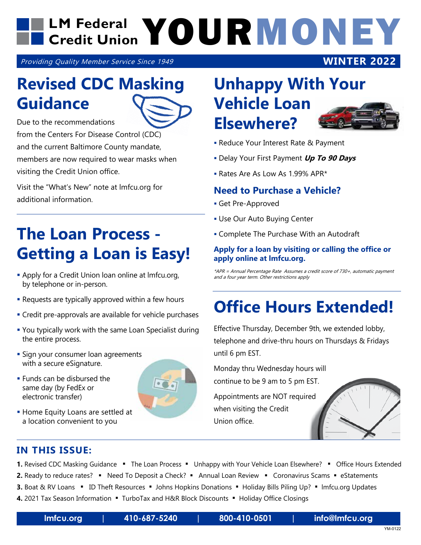# LM Federal **YOURMONEY Credit Union**

Providing Quality Member Service Since 1949

### **Revised CDC Masking Guidance**



Due to the recommendations

from the Centers For Disease Control (CDC) and the current Baltimore County mandate, members are now required to wear masks when visiting the Credit Union office.

Visit the "What's New" note at lmfcu.org for additional information.

### **The Loan Process - Getting a Loan is Easy!**

- **Apply for a Credit Union loan online at Imfcu.org,** by telephone or in-person.
- Requests are typically approved within a few hours
- **Credit pre-approvals are available for vehicle purchases**
- You typically work with the same Loan Specialist during the entire process.
- **Sign your consumer loan agreements** with a secure eSignature.
- **Funds can be disbursed the** same day (by FedEx or electronic transfer)
- **Home Equity Loans are settled at** a location convenient to you



## **Unhappy With Your Vehicle Loan Elsewhere?**



**WINTER 2022**

- Reduce Your Interest Rate & Payment
- Delay Your First Payment **Up To 90 Days**
- Rates Are As Low As 1.99% APR\*

#### **Need to Purchase a Vehicle?**

- Get Pre-Approved
- Use Our Auto Buying Center
- Complete The Purchase With an Autodraft

#### **Apply for a loan by visiting or calling the office or apply online at lmfcu.org.**

\*APR = Annual Percentage Rate Assumes a credit score of 730+, automatic payment and a four year term. Other restrictions apply

### **Office Hours Extended!**

Effective Thursday, December 9th, we extended lobby, telephone and drive-thru hours on Thursdays & Fridays until 6 pm EST.

Monday thru Wednesday hours will continue to be 9 am to 5 pm EST.

Appointments are NOT required when visiting the Credit Union office.



#### **IN THIS ISSUE:**

- 1. Revised CDC Masking Guidance The Loan Process Unhappy with Your Vehicle Loan Elsewhere? Office Hours Extended
- 2. Ready to reduce rates? Need To Deposit a Check? Annual Loan Review Coronavirus Scams eStatements
- **3.** Boat & RV Loans ID Theft Resources Johns Hopkins Donations Holiday Bills Piling Up? Imfcu.org Updates
- 4. 2021 Tax Season Information · TurboTax and H&R Block Discounts · Holiday Office Closings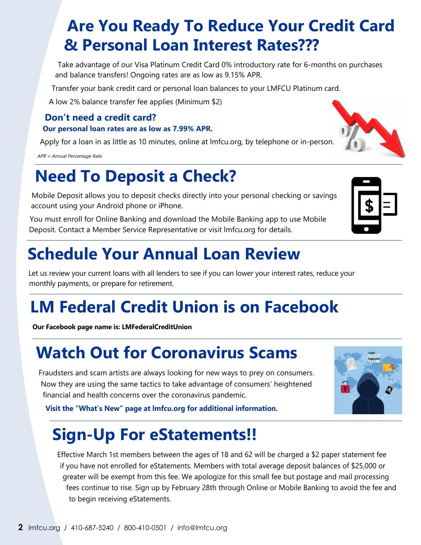#### **Are You Ready To Reduce Your Credit Card & Personal Loan Interest Rates???**

Take advantage of our Visa Platinum Credit Card 0% introductory rate for 6-months on purchases and balance transfers! Ongoing rates are as low as 9.15% APR.

Transfer your bank credit card or personal loan balances to your LMFCU Platinum card.

A low 2% balance transfer fee applies (Minimum \$2)

#### **Don't need a credit card?**

**Our personal loan rates are as low as 7.99% APR.**

Apply for a loan in as little as 10 minutes, online at lmfcu.org, by telephone or in-person.

APR = Annual Percentage Rate

### **Need To Deposit a Check?**

Mobile Deposit allows you to deposit checks directly into your personal checking or savings account using your Android phone or iPhone.

You must enroll for Online Banking and download the Mobile Banking app to use Mobile Deposit. Contact a Member Service Representative or visit lmfcu.org for details.

### **Schedule Your Annual Loan Review**

Let us review your current loans with all lenders to see if you can lower your interest rates, reduce your monthly payments, or prepare for retirement.

# **LM Federal Credit Union is on Facebook**

**Our Facebook page name is: LMFederalCreditUnion**

### **Watch Out for Coronavirus Scams**

Fraudsters and scam artists are always looking for new ways to prey on consumers. Now they are using the same tactics to take advantage of consumers' heightened financial and health concerns over the coronavirus pandemic.

**Visit the "What's New" page at lmfcu.org for additional information.**

### **Sign-Up For eStatements!!**

Effective March 1st members between the ages of 18 and 62 will be charged a \$2 paper statement fee if you have not enrolled for eStatements. Members with total average deposit balances of \$25,000 or greater will be exempt from this fee. We apologize for this small fee but postage and mail processing fees continue to rise. Sign up by February 28th through Online or Mobile Banking to avoid the fee and to begin receiving eStatements.



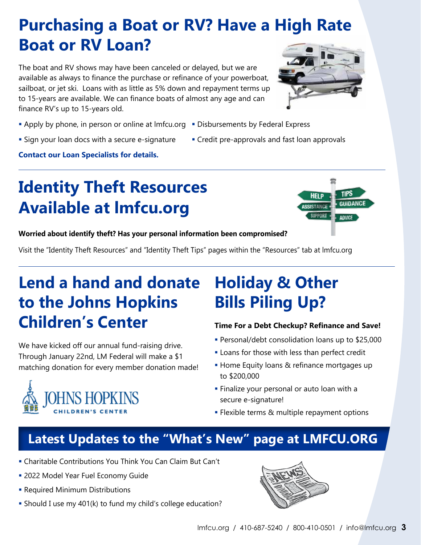### **Purchasing a Boat or RV? Have a High Rate Boat or RV Loan?**

The boat and RV shows may have been canceled or delayed, but we are available as always to finance the purchase or refinance of your powerboat, sailboat, or jet ski. Loans with as little as 5% down and repayment terms up to 15-years are available. We can finance boats of almost any age and can finance RV's up to 15-years old.



- Apply by phone, in person or online at Imfcu.org Disbursements by Federal Express
- Sign your loan docs with a secure e-signature **Exe** Credit pre-approvals and fast loan approvals
- 

**Contact our Loan Specialists for details.**

# **Identity Theft Resources Available at lmfcu.org**



#### **Worried about identify theft? Has your personal information been compromised?**

Visit the "Identity Theft Resources" and "Identity Theft Tips" pages within the "Resources" tab at lmfcu.org

### **Lend a hand and donate to the Johns Hopkins Children's Center**

We have kicked off our annual fund-raising drive. Through January 22nd, LM Federal will make a \$1 matching donation for every member donation made!



## **Holiday & Other Bills Piling Up?**

#### **Time For a Debt Checkup? Refinance and Save!**

- Personal/debt consolidation loans up to \$25,000
- **Loans for those with less than perfect credit**
- **Home Equity loans & refinance mortgages up** to \$200,000
- **Finalize your personal or auto loan with a** secure e-signature!
- **Flexible terms & multiple repayment options**

#### **Latest Updates to the "What's New" page at LMFCU.ORG**

- Charitable Contributions You Think You Can Claim But Can't
- **2022 Model Year Fuel Economy Guide**
- **Required Minimum Distributions**
- Should I use my 401(k) to fund my child's college education?